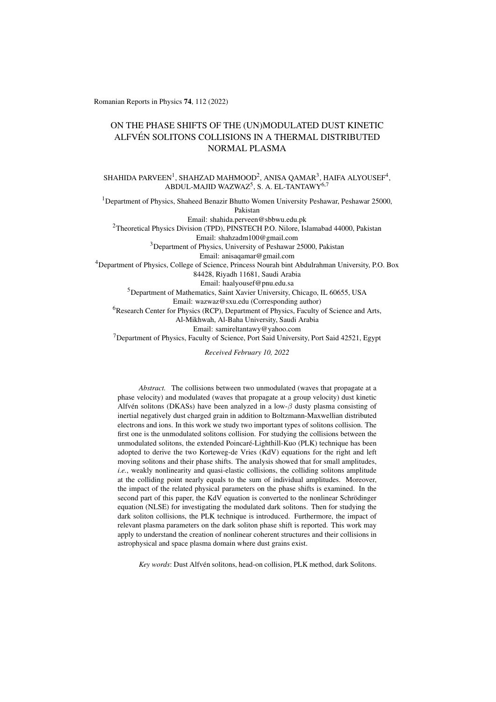Romanian Reports in Physics 74, 112 (2022)

# ON THE PHASE SHIFTS OF THE (UN)MODULATED DUST KINETIC ALFVÉN SOLITONS COLLISIONS IN A THERMAL DISTRIBUTED NORMAL PLASMA

SHAHIDA PARVEEN $^1$ , SHAHZAD MAHMOOD $^2$ , ANISA QAMAR $^3$ , HAIFA ALYOUSEF $^4$ , ABDUL-MAJID WAZWAZ<sup>5</sup>, S. A. EL-TANTAWY<sup>6,7</sup>

<sup>1</sup>Department of Physics, Shaheed Benazir Bhutto Women University Peshawar, Peshawar 25000, Pakistan Email: shahida.perveen@sbbwu.edu.pk <sup>2</sup>Theoretical Physics Division (TPD), PINSTECH P.O. Nilore, Islamabad 44000, Pakistan Email: shahzadm100@gmail.com <sup>3</sup>Department of Physics, University of Peshawar 25000, Pakistan Email: anisaqamar@gmail.com <sup>4</sup>Department of Physics, College of Science, Princess Nourah bint Abdulrahman University, P.O. Box 84428, Riyadh 11681, Saudi Arabia Email: haalyousef@pnu.edu.sa <sup>5</sup>Department of Mathematics, Saint Xavier University, Chicago, IL 60655, USA Email: wazwaz@sxu.edu (Corresponding author) <sup>6</sup>Research Center for Physics (RCP), Department of Physics, Faculty of Science and Arts, Al-Mikhwah, Al-Baha University, Saudi Arabia Email: samireltantawy@yahoo.com

<sup>7</sup>Department of Physics, Faculty of Science, Port Said University, Port Said 42521, Egypt

*Received February 10, 2022*

*Abstract.* The collisions between two unmodulated (waves that propagate at a phase velocity) and modulated (waves that propagate at a group velocity) dust kinetic Alfvén solitons (DKASs) have been analyzed in a low- $\beta$  dusty plasma consisting of inertial negatively dust charged grain in addition to Boltzmann-Maxwellian distributed electrons and ions. In this work we study two important types of solitons collision. The first one is the unmodulated solitons collision. For studying the collisions between the unmodulated solitons, the extended Poincaré-Lighthill-Kuo (PLK) technique has been adopted to derive the two Korteweg-de Vries (KdV) equations for the right and left moving solitons and their phase shifts. The analysis showed that for small amplitudes, *i.e.*, weakly nonlinearity and quasi-elastic collisions, the colliding solitons amplitude at the colliding point nearly equals to the sum of individual amplitudes. Moreover, the impact of the related physical parameters on the phase shifts is examined. In the second part of this paper, the KdV equation is converted to the nonlinear Schrödinger equation (NLSE) for investigating the modulated dark solitons. Then for studying the dark soliton collisions, the PLK technique is introduced. Furthermore, the impact of relevant plasma parameters on the dark soliton phase shift is reported. This work may apply to understand the creation of nonlinear coherent structures and their collisions in astrophysical and space plasma domain where dust grains exist.

*Key words*: Dust Alfvén solitons, head-on collision, PLK method, dark Solitons.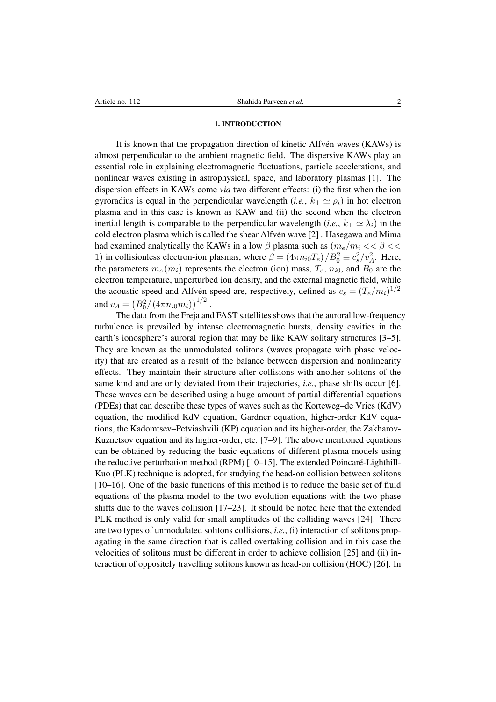#### 1. INTRODUCTION

It is known that the propagation direction of kinetic Alfvén waves (KAWs) is almost perpendicular to the ambient magnetic field. The dispersive KAWs play an essential role in explaining electromagnetic fluctuations, particle accelerations, and nonlinear waves existing in astrophysical, space, and laboratory plasmas [\[1\]](#page-17-0). The dispersion effects in KAWs come *via* two different effects: (i) the first when the ion gyroradius is equal in the perpendicular wavelength (*i.e.*,  $k_{\perp} \simeq \rho_i$ ) in hot electron plasma and in this case is known as KAW and (ii) the second when the electron inertial length is comparable to the perpendicular wavelength (*i.e.*,  $k_\perp \simeq \lambda_i$ ) in the cold electron plasma which is called the shear Alfvén wave [\[2\]](#page-17-1). Hasegawa and Mima had examined analytically the KAWs in a low  $\beta$  plasma such as  $(m_e/m_i << \beta <<$ 1) in collisionless electron-ion plasmas, where  $\beta = (4\pi n_{i0}T_e)/B_0^2 \equiv c_s^2/v_A^2$ . Here, the parameters  $m_e(m_i)$  represents the electron (ion) mass,  $T_e$ ,  $n_{i0}$ , and  $B_0$  are the electron temperature, unperturbed ion density, and the external magnetic field, while the acoustic speed and Alfvén speed are, respectively, defined as  $c_s = (T_e/m_i)^{1/2}$ and  $v_A = (B_0^2/(4\pi n_{i0}m_i))^{1/2}$ .

The data from the Freja and FAST satellites shows that the auroral low-frequency turbulence is prevailed by intense electromagnetic bursts, density cavities in the earth's ionosphere's auroral region that may be like KAW solitary structures [\[3–](#page-17-2)[5\]](#page-17-3). They are known as the unmodulated solitons (waves propagate with phase velocity) that are created as a result of the balance between dispersion and nonlinearity effects. They maintain their structure after collisions with another solitons of the same kind and are only deviated from their trajectories, *i.e.*, phase shifts occur [\[6\]](#page-17-4). These waves can be described using a huge amount of partial differential equations (PDEs) that can describe these types of waves such as the Korteweg–de Vries (KdV) equation, the modified KdV equation, Gardner equation, higher-order KdV equations, the Kadomtsev–Petviashvili (KP) equation and its higher-order, the Zakharov-Kuznetsov equation and its higher-order, etc. [\[7](#page-17-5)[–9\]](#page-17-6). The above mentioned equations can be obtained by reducing the basic equations of different plasma models using the reductive perturbation method (RPM)  $[10-15]$  $[10-15]$ . The extended Poincaré-Lighthill-Kuo (PLK) technique is adopted, for studying the head-on collision between solitons [\[10](#page-18-0)[–16\]](#page-18-2). One of the basic functions of this method is to reduce the basic set of fluid equations of the plasma model to the two evolution equations with the two phase shifts due to the waves collision [\[17](#page-18-3)[–23\]](#page-18-4). It should be noted here that the extended PLK method is only valid for small amplitudes of the colliding waves [\[24\]](#page-18-5). There are two types of unmodulated solitons collisions, *i.e.*, (i) interaction of solitons propagating in the same direction that is called overtaking collision and in this case the velocities of solitons must be different in order to achieve collision [\[25\]](#page-18-6) and (ii) interaction of oppositely travelling solitons known as head-on collision (HOC) [\[26\]](#page-18-7). In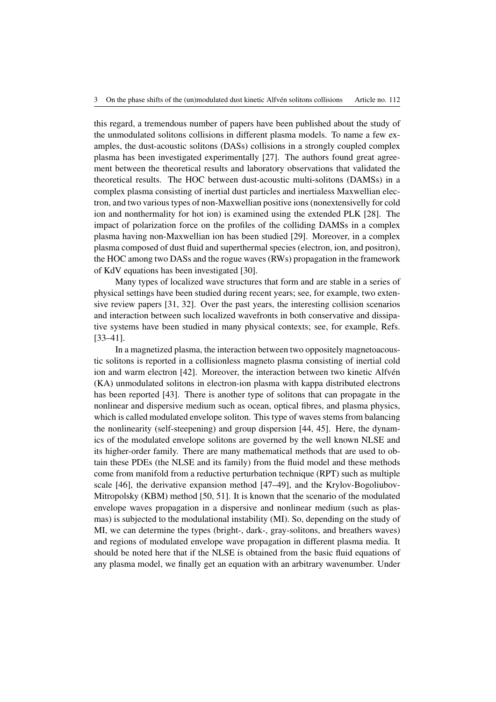this regard, a tremendous number of papers have been published about the study of the unmodulated solitons collisions in different plasma models. To name a few examples, the dust-acoustic solitons (DASs) collisions in a strongly coupled complex plasma has been investigated experimentally [\[27\]](#page-18-8). The authors found great agreement between the theoretical results and laboratory observations that validated the theoretical results. The HOC between dust-acoustic multi-solitons (DAMSs) in a complex plasma consisting of inertial dust particles and inertialess Maxwellian electron, and two various types of non-Maxwellian positive ions (nonextensivelly for cold ion and nonthermality for hot ion) is examined using the extended PLK [\[28\]](#page-18-9). The impact of polarization force on the profiles of the colliding DAMSs in a complex plasma having non-Maxwellian ion has been studied [\[29\]](#page-18-10). Moreover, in a complex plasma composed of dust fluid and superthermal species (electron, ion, and positron), the HOC among two DASs and the rogue waves (RWs) propagation in the framework of KdV equations has been investigated [\[30\]](#page-18-11).

Many types of localized wave structures that form and are stable in a series of physical settings have been studied during recent years; see, for example, two extensive review papers [\[31,](#page-18-12) [32\]](#page-18-13). Over the past years, the interesting collision scenarios and interaction between such localized wavefronts in both conservative and dissipative systems have been studied in many physical contexts; see, for example, Refs. [\[33](#page-18-14)[–41\]](#page-18-15).

In a magnetized plasma, the interaction between two oppositely magnetoacoustic solitons is reported in a collisionless magneto plasma consisting of inertial cold ion and warm electron [\[42\]](#page-18-16). Moreover, the interaction between two kinetic Alfvén (KA) unmodulated solitons in electron-ion plasma with kappa distributed electrons has been reported [\[43\]](#page-18-17). There is another type of solitons that can propagate in the nonlinear and dispersive medium such as ocean, optical fibres, and plasma physics, which is called modulated envelope soliton. This type of waves stems from balancing the nonlinearity (self-steepening) and group dispersion [\[44,](#page-18-18) [45\]](#page-18-19). Here, the dynamics of the modulated envelope solitons are governed by the well known NLSE and its higher-order family. There are many mathematical methods that are used to obtain these PDEs (the NLSE and its family) from the fluid model and these methods come from manifold from a reductive perturbation technique (RPT) such as multiple scale [\[46\]](#page-18-20), the derivative expansion method [\[47–](#page-18-21)[49\]](#page-18-22), and the Krylov-Bogoliubov-Mitropolsky (KBM) method [\[50,](#page-18-23) [51\]](#page-19-0). It is known that the scenario of the modulated envelope waves propagation in a dispersive and nonlinear medium (such as plasmas) is subjected to the modulational instability (MI). So, depending on the study of MI, we can determine the types (bright-, dark-, gray-solitons, and breathers waves) and regions of modulated envelope wave propagation in different plasma media. It should be noted here that if the NLSE is obtained from the basic fluid equations of any plasma model, we finally get an equation with an arbitrary wavenumber. Under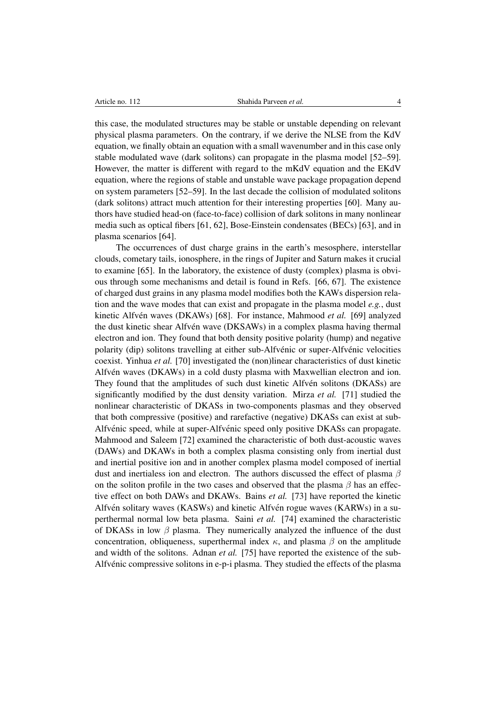this case, the modulated structures may be stable or unstable depending on relevant physical plasma parameters. On the contrary, if we derive the NLSE from the KdV equation, we finally obtain an equation with a small wavenumber and in this case only stable modulated wave (dark solitons) can propagate in the plasma model [\[52–](#page-19-1)[59\]](#page-19-2). However, the matter is different with regard to the mKdV equation and the EKdV equation, where the regions of stable and unstable wave package propagation depend on system parameters [\[52–](#page-19-1)[59\]](#page-19-2). In the last decade the collision of modulated solitons (dark solitons) attract much attention for their interesting properties [\[60\]](#page-19-3). Many authors have studied head-on (face-to-face) collision of dark solitons in many nonlinear media such as optical fibers [\[61,](#page-19-4) [62\]](#page-19-5), Bose-Einstein condensates (BECs) [\[63\]](#page-19-6), and in plasma scenarios [\[64\]](#page-19-7).

The occurrences of dust charge grains in the earth's mesosphere, interstellar clouds, cometary tails, ionosphere, in the rings of Jupiter and Saturn makes it crucial to examine [\[65\]](#page-19-8). In the laboratory, the existence of dusty (complex) plasma is obvious through some mechanisms and detail is found in Refs. [\[66,](#page-19-9) [67\]](#page-19-10). The existence of charged dust grains in any plasma model modifies both the KAWs dispersion relation and the wave modes that can exist and propagate in the plasma model *e.g.*, dust kinetic Alfvén waves (DKAWs) [\[68\]](#page-19-11). For instance, Mahmood *et al.* [\[69\]](#page-19-12) analyzed the dust kinetic shear Alfvén wave (DKSAWs) in a complex plasma having thermal electron and ion. They found that both density positive polarity (hump) and negative polarity (dip) solitons travelling at either sub-Alfvénic or super-Alfvénic velocities coexist. Yinhua *et al.* [\[70\]](#page-19-13) investigated the (non)linear characteristics of dust kinetic Alfven waves (DKAWs) in a cold dusty plasma with Maxwellian electron and ion. ´ They found that the amplitudes of such dust kinetic Alfven solitons (DKASs) are significantly modified by the dust density variation. Mirza *et al.* [\[71\]](#page-19-14) studied the nonlinear characteristic of DKASs in two-components plasmas and they observed that both compressive (positive) and rarefactive (negative) DKASs can exist at sub-Alfvénic speed, while at super-Alfvénic speed only positive DKASs can propagate. Mahmood and Saleem [\[72\]](#page-19-15) examined the characteristic of both dust-acoustic waves (DAWs) and DKAWs in both a complex plasma consisting only from inertial dust and inertial positive ion and in another complex plasma model composed of inertial dust and inertialess ion and electron. The authors discussed the effect of plasma  $\beta$ on the soliton profile in the two cases and observed that the plasma  $\beta$  has an effective effect on both DAWs and DKAWs. Bains *et al.* [\[73\]](#page-19-16) have reported the kinetic Alfvén solitary waves (KASWs) and kinetic Alfvén rogue waves (KARWs) in a superthermal normal low beta plasma. Saini *et al.* [\[74\]](#page-19-17) examined the characteristic of DKASs in low  $\beta$  plasma. They numerically analyzed the influence of the dust concentration, obliqueness, superthermal index  $\kappa$ , and plasma  $\beta$  on the amplitude and width of the solitons. Adnan *et al.* [\[75\]](#page-19-18) have reported the existence of the sub-Alfvenic compressive solitons in e-p-i plasma. They studied the effects of the plasma ´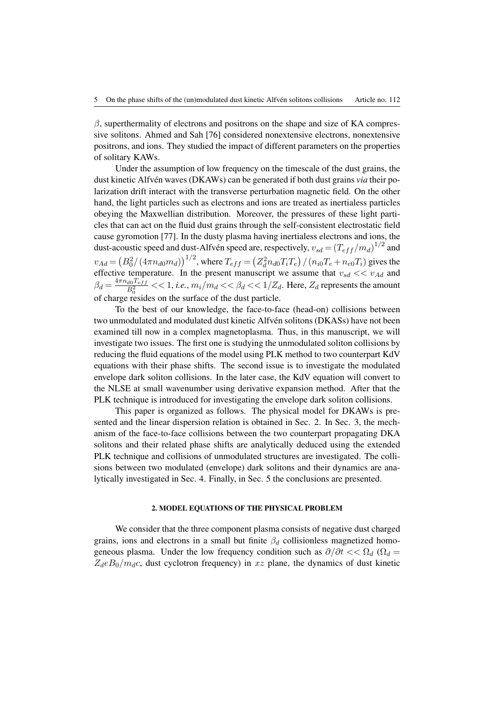$\beta$ , superthermality of electrons and positrons on the shape and size of KA compressive solitons. Ahmed and Sah [\[76\]](#page-19-19) considered nonextensive electrons, nonextensive positrons, and ions. They studied the impact of different parameters on the properties of solitary KAWs.

Under the assumption of low frequency on the timescale of the dust grains, the dust kinetic Alfvén waves (DKAWs) can be generated if both dust grains *via* their polarization drift interact with the transverse perturbation magnetic field. On the other hand, the light particles such as electrons and ions are treated as inertialess particles obeying the Maxwellian distribution. Moreover, the pressures of these light particles that can act on the fluid dust grains through the self-consistent electrostatic field cause gyromotion [\[77\]](#page-19-20). In the dusty plasma having inertialess electrons and ions, the dust-acoustic speed and dust-Alfvén speed are, respectively,  $v_{sd} = (T_{eff}/m_d)^{1/2}$  and  $v_{Ad} = (B_0^2/(4\pi n_{d0}m_d))^{1/2}$ , where  $T_{eff} = (Z_d^2 n_{d0} T_i T_e)/(n_{i0} T_e + n_{e0} T_i)$  gives the effective temperature. In the present manuscript we assume that  $v_{sd} \ll v_{Ad}$  and  $\beta_d = \frac{4\pi n_{d0}T_{eff}}{B_s^2}$  $\frac{d0 \cdot e_{eff}}{B_0^2} << 1$ , *i.e.*,  $m_i/m_d << \beta_d << 1/Z_d$ . Here,  $Z_d$  represents the amount of charge resides on the surface of the dust particle.

To the best of our knowledge, the face-to-face (head-on) collisions between two unmodulated and modulated dust kinetic Alfvén solitons (DKASs) have not been examined till now in a complex magnetoplasma. Thus, in this manuscript, we will investigate two issues. The first one is studying the unmodulated soliton collisions by reducing the fluid equations of the model using PLK method to two counterpart KdV equations with their phase shifts. The second issue is to investigate the modulated envelope dark soliton collisions. In the later case, the KdV equation will convert to the NLSE at small wavenumber using derivative expansion method. After that the PLK technique is introduced for investigating the envelope dark soliton collisions.

This paper is organized as follows. The physical model for DKAWs is presented and the linear dispersion relation is obtained in Sec. 2. In Sec. 3, the mechanism of the face-to-face collisions between the two counterpart propagating DKA solitons and their related phase shifts are analytically deduced using the extended PLK technique and collisions of unmodulated structures are investigated. The collisions between two modulated (envelope) dark solitons and their dynamics are analytically investigated in Sec. 4. Finally, in Sec. 5 the conclusions are presented.

## 2. MODEL EQUATIONS OF THE PHYSICAL PROBLEM

We consider that the three component plasma consists of negative dust charged grains, ions and electrons in a small but finite  $\beta_d$  collisionless magnetized homogeneous plasma. Under the low frequency condition such as  $\partial/\partial t \ll \Omega_d$  ( $\Omega_d =$  $Z_d e B_0/m_d c$ , dust cyclotron frequency) in xz plane, the dynamics of dust kinetic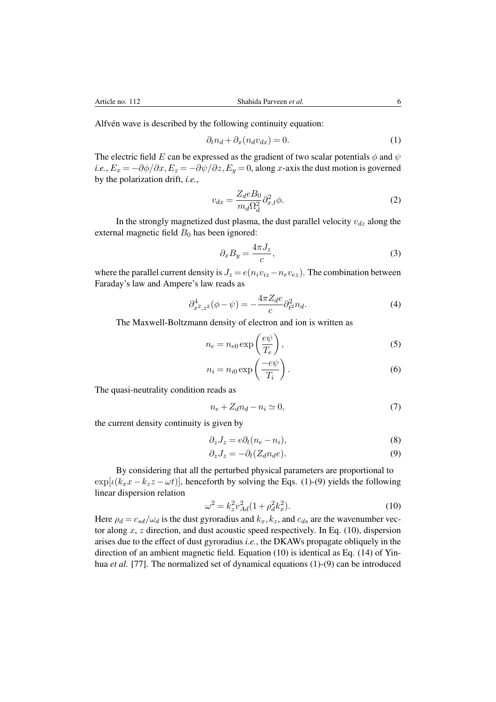Alfvén wave is described by the following continuity equation:

<span id="page-5-0"></span>
$$
\partial_t n_d + \partial_x (n_d v_{dx}) = 0. \tag{1}
$$

The electric field E can be expressed as the gradient of two scalar potentials  $\phi$  and  $\psi$ *i.e.*,  $E_x = -\partial \phi / \partial x$ ,  $E_z = -\partial \psi / \partial z$ ,  $E_y = 0$ , along x-axis the dust motion is governed by the polarization drift, *i.e.*,

$$
v_{dx} = \frac{Z_d e B_0}{m_d \Omega_d^2} \partial_{x,t}^2 \phi.
$$
 (2)

In the strongly magnetized dust plasma, the dust parallel velocity  $v_{dz}$  along the external magnetic field  $B_0$  has been ignored:

$$
\partial_x B_y = \frac{4\pi J_z}{c},\tag{3}
$$

where the parallel current density is  $J_z = e(n_i v_{iz} - n_e v_{ez})$ . The combination between Faraday's law and Ampere's law reads as

$$
\partial_{x^2,z^2}^4(\phi - \psi) = -\frac{4\pi Z_d e}{c} \partial_{t^2}^2 n_d. \tag{4}
$$

The Maxwell-Boltzmann density of electron and ion is written as

$$
n_e = n_{e0} \exp\left(\frac{e\psi}{T_e}\right),\tag{5}
$$

$$
n_i = n_{i0} \exp\left(\frac{-e\psi}{T_i}\right). \tag{6}
$$

The quasi-neutrality condition reads as

$$
n_e + Z_d n_d - n_i \simeq 0,\t\t(7)
$$

the current density continuity is given by

$$
\partial_z J_z = e \partial_t (n_e - n_i),\tag{8}
$$

<span id="page-5-1"></span>
$$
\partial_z J_z = -\partial_t (Z_d n_d e). \tag{9}
$$

By considering that all the perturbed physical parameters are proportional to  $\exp[i(k_x x - k_z z - \omega t)]$ , henceforth by solving the Eqs. [\(1\)](#page-5-0)-[\(9\)](#page-5-1) yields the following linear dispersion relation

<span id="page-5-2"></span>
$$
\omega^2 = k_z^2 v_{Ad}^2 (1 + \rho_d^2 k_x^2). \tag{10}
$$

Here  $\rho_d = c_{sd}/\omega_d$  is the dust gyroradius and  $k_x, k_z$ , and  $c_{ds}$  are the wavenumber vector along  $x$ ,  $z$  direction, and dust acoustic speed respectively. In Eq. [\(10\)](#page-5-2), dispersion arises due to the effect of dust gyroradius *i.e.*, the DKAWs propagate obliquely in the direction of an ambient magnetic field. Equation [\(10\)](#page-5-2) is identical as Eq. (14) of Yinhua *et al.* [\[77\]](#page-19-20). The normalized set of dynamical equations [\(1\)](#page-5-0)-[\(9\)](#page-5-1) can be introduced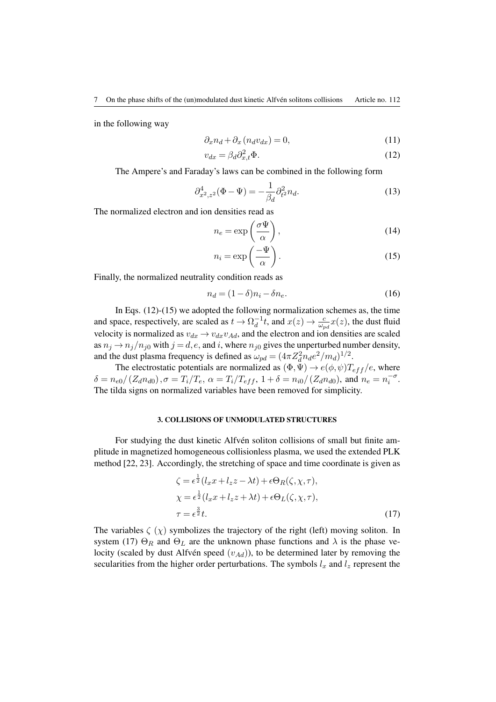in the following way

<span id="page-6-3"></span>
$$
\partial_x n_d + \partial_x (n_d v_{dx}) = 0,\t\t(11)
$$

<span id="page-6-0"></span>
$$
v_{dx} = \beta_d \partial_{x,t}^2 \Phi. \tag{12}
$$

The Ampere's and Faraday's laws can be combined in the following form

<span id="page-6-4"></span>
$$
\partial_{x^2,z^2}^4(\Phi - \Psi) = -\frac{1}{\beta_d} \partial_{t^2}^2 n_d.
$$
 (13)

The normalized electron and ion densities read as

<span id="page-6-1"></span>
$$
n_e = \exp\left(\frac{\sigma \Psi}{\alpha}\right),\tag{14}
$$

$$
n_i = \exp\left(\frac{-\Psi}{\alpha}\right). \tag{15}
$$

Finally, the normalized neutrality condition reads as

$$
n_d = (1 - \delta)n_i - \delta n_e. \tag{16}
$$

In Eqs. [\(12\)](#page-6-0)-[\(15\)](#page-6-1) we adopted the following normalization schemes as, the time and space, respectively, are scaled as  $t \to \Omega_d^{-1}$  $\frac{d}{dt}$ , and  $x(z) \rightarrow \frac{c}{\omega_{pd}}x(z)$ , the dust fluid velocity is normalized as  $v_{dx} \rightarrow v_{dx}v_{Ad}$ , and the electron and ion densities are scaled as  $n_j \rightarrow n_j/n_{j0}$  with  $j = d, e$ , and i, where  $n_{j0}$  gives the unperturbed number density, and the dust plasma frequency is defined as  $\omega_{pd} = (4\pi Z_d^2 n_d e^2/m_d)^{1/2}$ .

The electrostatic potentials are normalized as  $(\Phi, \Psi) \rightarrow e(\phi, \psi)T_{eff}/e$ , where  $\delta = n_{e0}/(Z_d n_{d0}), \sigma = T_i/T_e, \ \alpha = T_i/T_{eff}, \ 1 + \delta = n_{i0}/(Z_d n_{d0}),$  and  $n_e = n_i^{-\sigma}$ . The tilda signs on normalized variables have been removed for simplicity.

#### 3. COLLISIONS OF UNMODULATED STRUCTURES

For studying the dust kinetic Alfvén soliton collisions of small but finite amplitude in magnetized homogeneous collisionless plasma, we used the extended PLK method [\[22,](#page-18-24) [23\]](#page-18-4). Accordingly, the stretching of space and time coordinate is given as

<span id="page-6-2"></span>
$$
\zeta = \epsilon^{\frac{1}{2}}(l_x x + l_z z - \lambda t) + \epsilon \Theta_R(\zeta, \chi, \tau),
$$
  
\n
$$
\chi = \epsilon^{\frac{1}{2}}(l_x x + l_z z + \lambda t) + \epsilon \Theta_L(\zeta, \chi, \tau),
$$
  
\n
$$
\tau = \epsilon^{\frac{3}{2}}t.
$$
\n(17)

The variables  $\zeta(\chi)$  symbolizes the trajectory of the right (left) moving soliton. In system [\(17\)](#page-6-2)  $\Theta_R$  and  $\Theta_L$  are the unknown phase functions and  $\lambda$  is the phase velocity (scaled by dust Alfvén speed  $(v_{Ad})$ ), to be determined later by removing the secularities from the higher order perturbations. The symbols  $l_x$  and  $l_z$  represent the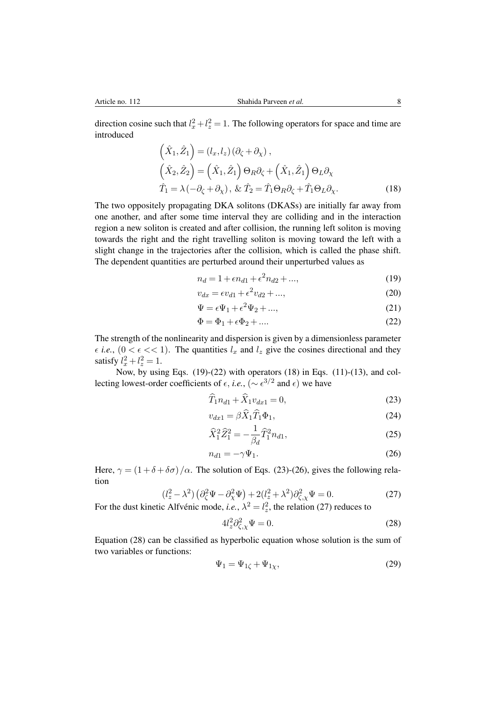direction cosine such that  $l_x^2 + l_z^2 = 1$ . The following operators for space and time are introduced

$$
\begin{aligned}\n\left(\hat{X}_1, \hat{Z}_1\right) &= (l_x, l_z) \left(\partial_{\zeta} + \partial_{\chi}\right), \\
\left(\hat{X}_2, \hat{Z}_2\right) &= \left(\hat{X}_1, \hat{Z}_1\right) \Theta_R \partial_{\zeta} + \left(\hat{X}_1, \hat{Z}_1\right) \Theta_L \partial_{\chi} \\
\hat{T}_1 &= \lambda \left(-\partial_{\zeta} + \partial_{\chi}\right), \& \hat{T}_2 = \hat{T}_1 \Theta_R \partial_{\zeta} + \hat{T}_1 \Theta_L \partial_{\chi}.\n\end{aligned}
$$
\n(18)

The two oppositely propagating DKA solitons (DKASs) are initially far away from one another, and after some time interval they are colliding and in the interaction region a new soliton is created and after collision, the running left soliton is moving towards the right and the right travelling soliton is moving toward the left with a slight change in the trajectories after the collision, which is called the phase shift. The dependent quantities are perturbed around their unperturbed values as

<span id="page-7-2"></span><span id="page-7-0"></span>
$$
n_d = 1 + \epsilon n_{d1} + \epsilon^2 n_{d2} + \dots,\tag{19}
$$

$$
v_{dx} = \epsilon v_{d1} + \epsilon^2 v_{d2} + \dots,\tag{20}
$$

$$
\Psi = \epsilon \Psi_1 + \epsilon^2 \Psi_2 + \dots,\tag{21}
$$

<span id="page-7-1"></span>
$$
\Phi = \Phi_1 + \epsilon \Phi_2 + \dots \tag{22}
$$

The strength of the nonlinearity and dispersion is given by a dimensionless parameter  $\epsilon$  *i.e.*,  $(0 < \epsilon < 1)$ . The quantities  $l_x$  and  $l_z$  give the cosines directional and they satisfy  $l_x^2 + l_z^2 = 1$ .

Now, by using Eqs.  $(19)-(22)$  $(19)-(22)$  $(19)-(22)$  with operators  $(18)$  in Eqs.  $(11)-(13)$  $(11)-(13)$  $(11)-(13)$ , and collecting lowest-order coefficients of  $\epsilon$ , *i.e.*, ( $\sim \epsilon^{3/2}$  and  $\epsilon$ ) we have

$$
T_1 n_{d1} + X_1 v_{dx1} = 0,\t\t(23)
$$

<span id="page-7-3"></span>
$$
v_{dx1} = \beta \widehat{X}_1 \widehat{T}_1 \Phi_1,\tag{24}
$$

$$
\widehat{X}_1^2 \widehat{Z}_1^2 = -\frac{1}{\beta_d} \widehat{T}_1^2 n_{d1},\tag{25}
$$

<span id="page-7-4"></span>
$$
n_{d1} = -\gamma \Psi_1. \tag{26}
$$

Here,  $\gamma = (1 + \delta + \delta \sigma)/\alpha$ . The solution of Eqs. [\(23\)](#page-7-3)-[\(26\)](#page-7-4), gives the following relation

<span id="page-7-5"></span>
$$
(l_z^2 - \lambda^2) \left(\partial_\zeta^2 \Psi - \partial_\chi^2 \Psi\right) + 2(l_z^2 + \lambda^2) \partial_{\zeta,\chi}^2 \Psi = 0. \tag{27}
$$

For the dust kinetic Alfvénic mode, *i.e.*,  $\lambda^2 = l_z^2$ , the relation [\(27\)](#page-7-5) reduces to

<span id="page-7-6"></span>
$$
4l_z^2 \partial_{\zeta,\chi}^2 \Psi = 0. \tag{28}
$$

Equation [\(28\)](#page-7-6) can be classified as hyperbolic equation whose solution is the sum of two variables or functions:

<span id="page-7-7"></span>
$$
\Psi_1 = \Psi_{1\zeta} + \Psi_{1\chi},\tag{29}
$$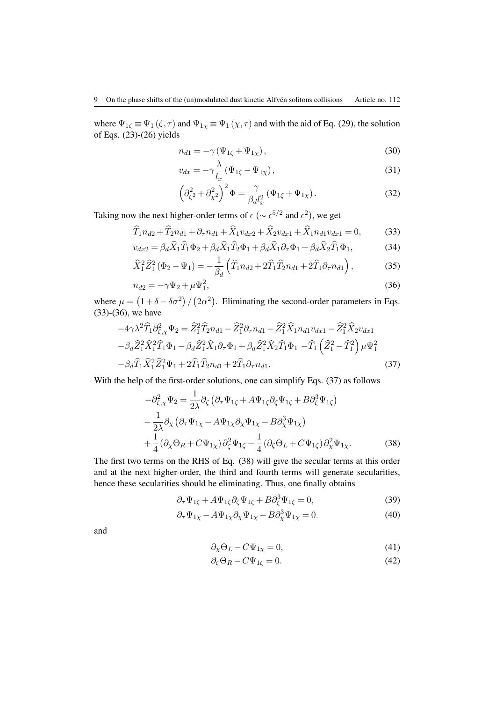where  $\Psi_{1\zeta} \equiv \Psi_1(\zeta, \tau)$  and  $\Psi_{1\chi} \equiv \Psi_1(\chi, \tau)$  and with the aid of Eq. [\(29\)](#page-7-7), the solution of Eqs.  $(23)-(26)$  $(23)-(26)$  $(23)-(26)$  yields

$$
n_{d1} = -\gamma \left(\Psi_{1\zeta} + \Psi_{1\chi}\right),\tag{30}
$$

$$
v_{dx} = -\gamma \frac{\lambda}{l_x} \left( \Psi_{1\zeta} - \Psi_{1\chi} \right),\tag{31}
$$

<span id="page-8-1"></span><span id="page-8-0"></span>
$$
\left(\partial_{\zeta^2}^2 + \partial_{\chi^2}^2\right)^2 \Phi = \frac{\gamma}{\beta_d l_x^2} \left(\Psi_{1\zeta} + \Psi_{1\chi}\right). \tag{32}
$$

Taking now the next higher-order terms of  $\epsilon$  ( $\sim \epsilon^{5/2}$  and  $\epsilon^2$ ), we get

$$
\widehat{T}_1 n_{d2} + \widehat{T}_2 n_{d1} + \partial_\tau n_{d1} + \widehat{X}_1 v_{dx2} + \widehat{X}_2 v_{dx1} + \widehat{X}_1 n_{d1} v_{dx1} = 0,\tag{33}
$$

$$
v_{dx2} = \beta_d \hat{X}_1 \hat{T}_1 \Phi_2 + \beta_d \hat{X}_1 \hat{T}_2 \Phi_1 + \beta_d \hat{X}_1 \partial_\tau \Phi_1 + \beta_d \hat{X}_2 \hat{T}_1 \Phi_1,\tag{34}
$$

$$
\widehat{X}_1^2 \widehat{Z}_1^2 (\Phi_2 - \Psi_1) = -\frac{1}{\beta_d} \left( \widehat{T}_1 n_{d2} + 2 \widehat{T}_1 \widehat{T}_2 n_{d1} + 2 \widehat{T}_1 \partial_\tau n_{d1} \right),\tag{35}
$$

$$
n_{d2} = -\gamma \Psi_2 + \mu \Psi_1^2,\tag{36}
$$

where  $\mu = (1 + \delta - \delta \sigma^2) / (2\alpha^2)$ . Eliminating the second-order parameters in Eqs. [\(33\)](#page-8-0)-[\(36\)](#page-8-1), we have

$$
-4\gamma\lambda^{2}\widehat{T}_{1}\partial_{\zeta,\chi}^{2}\Psi_{2} = \widehat{Z}_{1}^{2}\widehat{T}_{2}n_{d1} - \widehat{Z}_{1}^{2}\partial_{\tau}n_{d1} - \widehat{Z}_{1}^{2}\widehat{X}_{1}n_{d1}v_{dx1} - \widehat{Z}_{1}^{2}\widehat{X}_{2}v_{dx1} - \beta_{d}\widehat{Z}_{1}^{2}\widehat{X}_{1}^{2}\widehat{T}_{1}\Phi_{1} - \beta_{d}\widehat{Z}_{1}^{2}\widehat{X}_{1}\partial_{\tau}\Phi_{1} + \beta_{d}\widehat{Z}_{1}^{2}\widehat{X}_{2}\widehat{T}_{1}\Phi_{1} - \widehat{T}_{1}\left(\widehat{Z}_{1}^{2} - \widehat{T}_{1}^{2}\right)\mu\Psi_{1}^{2} - \beta_{d}\widehat{T}_{1}\widehat{X}_{1}^{2}\widehat{Z}_{1}^{2}\Psi_{1} + 2\widehat{T}_{1}\widehat{T}_{2}n_{d1} + 2\widehat{T}_{1}\partial_{\tau}n_{d1}.
$$
\n(37)

With the help of the first-order solutions, one can simplify Eqs. [\(37\)](#page-8-2) as follows

<span id="page-8-2"></span>
$$
-\partial_{\zeta,\chi}^{2} \Psi_{2} = \frac{1}{2\lambda} \partial_{\zeta} \left( \partial_{\tau} \Psi_{1\zeta} + A \Psi_{1\zeta} \partial_{\zeta} \Psi_{1\zeta} + B \partial_{\zeta}^{3} \Psi_{1\zeta} \right) -\frac{1}{2\lambda} \partial_{\chi} \left( \partial_{\tau} \Psi_{1\chi} - A \Psi_{1\chi} \partial_{\chi} \Psi_{1\chi} - B \partial_{\chi}^{3} \Psi_{1\chi} \right) +\frac{1}{4} \left( \partial_{\chi} \Theta_{R} + C \Psi_{1\chi} \right) \partial_{\zeta}^{2} \Psi_{1\zeta} - \frac{1}{4} \left( \partial_{\zeta} \Theta_{L} + C \Psi_{1\zeta} \right) \partial_{\chi}^{2} \Psi_{1\chi}.
$$
 (38)

The first two terms on the RHS of Eq. [\(38\)](#page-8-3) will give the secular terms at this order and at the next higher-order, the third and fourth terms will generate secularities, hence these secularities should be eliminating. Thus, one finally obtains

$$
\partial_{\tau} \Psi_{1\zeta} + A\Psi_{1\zeta} \partial_{\zeta} \Psi_{1\zeta} + B \partial_{\zeta}^3 \Psi_{1\zeta} = 0, \tag{39}
$$

$$
\partial_{\tau} \Psi_{1\chi} - A \Psi_{1\chi} \partial_{\chi} \Psi_{1\chi} - B \partial_{\chi}^{3} \Psi_{1\chi} = 0. \tag{40}
$$

and

<span id="page-8-7"></span><span id="page-8-6"></span><span id="page-8-5"></span><span id="page-8-4"></span><span id="page-8-3"></span>
$$
\partial_{\chi}\Theta_L - C\Psi_{1\chi} = 0,\tag{41}
$$

$$
\partial_{\zeta} \Theta_R - C \Psi_{1\zeta} = 0. \tag{42}
$$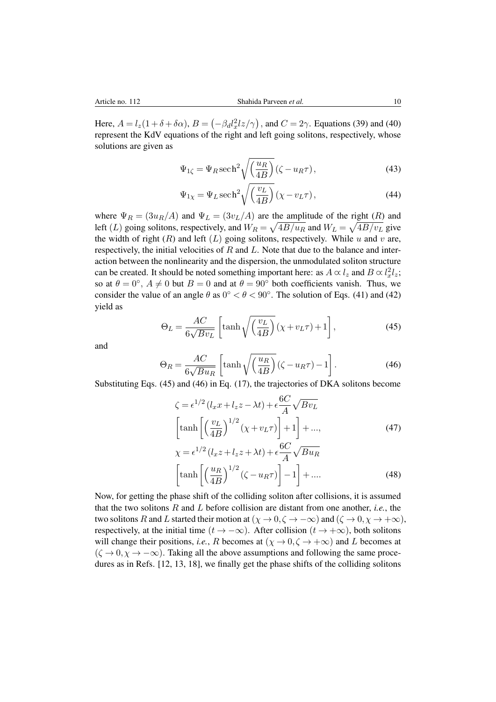Here,  $A = l_z(1 + \delta + \delta \alpha)$ ,  $B = (-\beta_d l_x^2 l_z/\gamma)$ , and  $C = 2\gamma$ . Equations [\(39\)](#page-8-4) and [\(40\)](#page-8-5) represent the KdV equations of the right and left going solitons, respectively, whose solutions are given as

$$
\Psi_{1\zeta} = \Psi_R \sech^2 \sqrt{\left(\frac{u_R}{4B}\right)} (\zeta - u_R \tau), \tag{43}
$$

$$
\Psi_{1\chi} = \Psi_L \operatorname{sech}^2 \sqrt{\left(\frac{v_L}{4B}\right)} \left(\chi - v_L \tau\right),\tag{44}
$$

where  $\Psi_R = (3u_R/A)$  and  $\Psi_L = (3v_L/A)$  are the amplitude of the right  $(R)$  and left (L) going solitons, respectively, and  $W_R = \sqrt{4B/u_R}$  and  $W_L = \sqrt{4B/v_L}$  give the width of right  $(R)$  and left  $(L)$  going solitons, respectively. While u and v are, respectively, the initial velocities of  $R$  and  $L$ . Note that due to the balance and interaction between the nonlinearity and the dispersion, the unmodulated soliton structure can be created. It should be noted something important here: as  $A \propto l_z$  and  $B \propto l_x^2 l_z$ ; so at  $\theta = 0^{\circ}$ ,  $A \neq 0$  but  $B = 0$  and at  $\theta = 90^{\circ}$  both coefficients vanish. Thus, we consider the value of an angle  $\theta$  as  $0^{\circ} < \theta < 90^{\circ}$ . The solution of Eqs. [\(41\)](#page-8-6) and [\(42\)](#page-8-7) yield as

<span id="page-9-0"></span>
$$
\Theta_L = \frac{AC}{6\sqrt{Bv_L}} \left[ \tanh\sqrt{\left(\frac{v_L}{4B}\right)} \left(\chi + v_L \tau\right) + 1 \right],\tag{45}
$$

and

<span id="page-9-1"></span>
$$
\Theta_R = \frac{AC}{6\sqrt{Bu_R}} \left[ \tanh\sqrt{\left(\frac{u_R}{4B}\right)} \left(\zeta - u_R \tau\right) - 1 \right]. \tag{46}
$$

Substituting Eqs. [\(45\)](#page-9-0) and [\(46\)](#page-9-1) in Eq. [\(17\)](#page-6-2), the trajectories of DKA solitons become

$$
\zeta = \epsilon^{1/2} (l_x x + l_z z - \lambda t) + \epsilon \frac{6C}{A} \sqrt{Bv_L}
$$
  
\n
$$
\left[ \tanh \left[ \left( \frac{v_L}{4B} \right)^{1/2} (\chi + v_L \tau) \right] + 1 \right] + ...,
$$
  
\n
$$
\chi = \epsilon^{1/2} (l_x z + l_z z + \lambda t) + \epsilon \frac{6C}{A} \sqrt{Bu_R}
$$
  
\n
$$
\left[ \tanh \left[ \left( \frac{u_R}{4B} \right)^{1/2} (\zeta - u_R \tau) \right] - 1 \right] + ....
$$
\n(48)

Now, for getting the phase shift of the colliding soliton after collisions, it is assumed that the two solitons R and L before collision are distant from one another, *i.e.*, the two solitons R and L started their motion at  $(\chi \to 0, \zeta \to -\infty)$  and  $(\zeta \to 0, \chi \to +\infty)$ , respectively, at the initial time  $(t \to -\infty)$ . After collision  $(t \to +\infty)$ , both solitons will change their positions, *i.e.*, R becomes at  $(\chi \to 0, \zeta \to +\infty)$  and L becomes at  $(\zeta \to 0, \chi \to -\infty)$ . Taking all the above assumptions and following the same procedures as in Refs. [\[12,](#page-18-25) [13,](#page-18-26) [18\]](#page-18-27), we finally get the phase shifts of the colliding solitons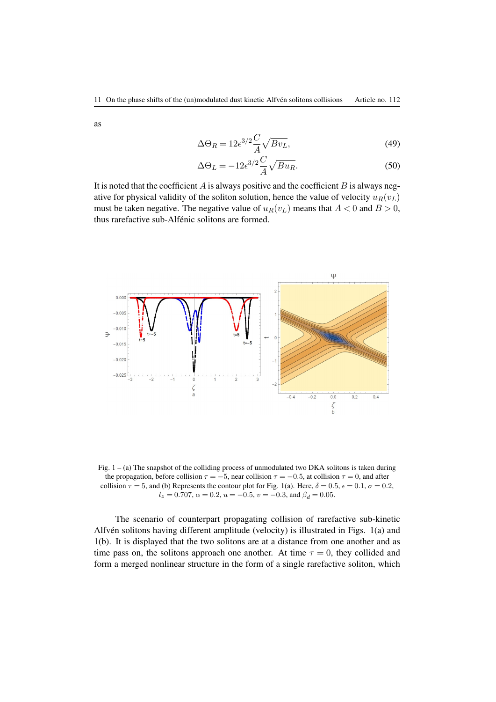as

$$
\Delta\Theta_R = 12\epsilon^{3/2} \frac{C}{A} \sqrt{Bv_L},\tag{49}
$$

$$
\Delta\Theta_L = -12\epsilon^{3/2}\frac{C}{A}\sqrt{Bu_R}.\tag{50}
$$

It is noted that the coefficient  $A$  is always positive and the coefficient  $B$  is always negative for physical validity of the soliton solution, hence the value of velocity  $u_R(v_L)$ must be taken negative. The negative value of  $u_R(v_L)$  means that  $A < 0$  and  $B > 0$ , thus rarefactive sub-Alfénic solitons are formed.



Fig. 1 – (a) The snapshot of the colliding process of unmodulated two DKA solitons is taken during the propagation, before collision  $\tau = -5$ , near collision  $\tau = -0.5$ , at collision  $\tau = 0$ , and after collision  $\tau = 5$ , and (b) Represents the contour plot for Fig. 1(a). Here,  $\delta = 0.5$ ,  $\epsilon = 0.1$ ,  $\sigma = 0.2$ ,  $l_z = 0.707$ ,  $\alpha = 0.2$ ,  $u = -0.5$ ,  $v = -0.3$ , and  $\beta_d = 0.05$ .

The scenario of counterpart propagating collision of rarefactive sub-kinetic Alfvén solitons having different amplitude (velocity) is illustrated in Figs.  $1(a)$  and 1(b). It is displayed that the two solitons are at a distance from one another and as time pass on, the solitons approach one another. At time  $\tau = 0$ , they collided and form a merged nonlinear structure in the form of a single rarefactive soliton, which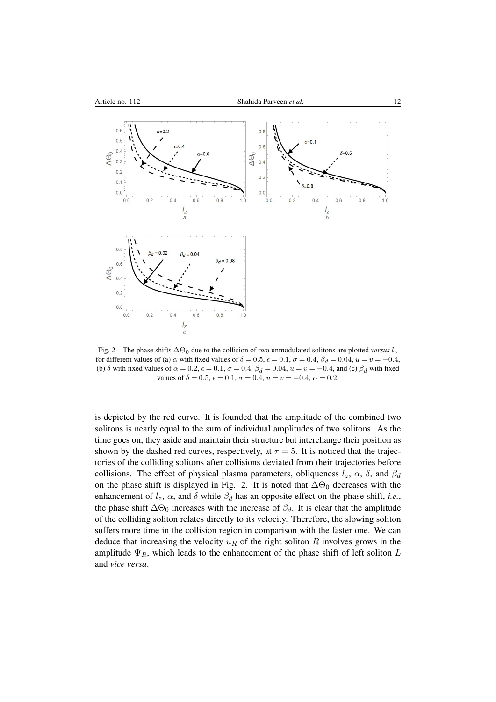

Fig. 2 – The phase shifts  $\Delta\Theta_0$  due to the collision of two unmodulated solitons are plotted *versus*  $l_z$ for different values of (a)  $\alpha$  with fixed values of  $\delta = 0.5$ ,  $\epsilon = 0.1$ ,  $\sigma = 0.4$ ,  $\beta_d = 0.04$ ,  $u = v = -0.4$ , (b)  $\delta$  with fixed values of  $\alpha = 0.2$ ,  $\epsilon = 0.1$ ,  $\sigma = 0.4$ ,  $\beta_d = 0.04$ ,  $u = v = -0.4$ , and (c)  $\beta_d$  with fixed values of  $\delta = 0.5$ ,  $\epsilon = 0.1$ ,  $\sigma = 0.4$ ,  $u = v = -0.4$ ,  $\alpha = 0.2$ .

is depicted by the red curve. It is founded that the amplitude of the combined two solitons is nearly equal to the sum of individual amplitudes of two solitons. As the time goes on, they aside and maintain their structure but interchange their position as shown by the dashed red curves, respectively, at  $\tau = 5$ . It is noticed that the trajectories of the colliding solitons after collisions deviated from their trajectories before collisions. The effect of physical plasma parameters, obliqueness  $l_z$ ,  $\alpha$ ,  $\delta$ , and  $\beta_d$ on the phase shift is displayed in Fig. 2. It is noted that  $\Delta\Theta_0$  decreases with the enhancement of  $l_z$ ,  $\alpha$ , and  $\delta$  while  $\beta_d$  has an opposite effect on the phase shift, *i.e.*, the phase shift  $\Delta\Theta_0$  increases with the increase of  $\beta_d$ . It is clear that the amplitude of the colliding soliton relates directly to its velocity. Therefore, the slowing soliton suffers more time in the collision region in comparison with the faster one. We can deduce that increasing the velocity  $u_R$  of the right soliton R involves grows in the amplitude  $\Psi_R$ , which leads to the enhancement of the phase shift of left soliton L and *vice versa*.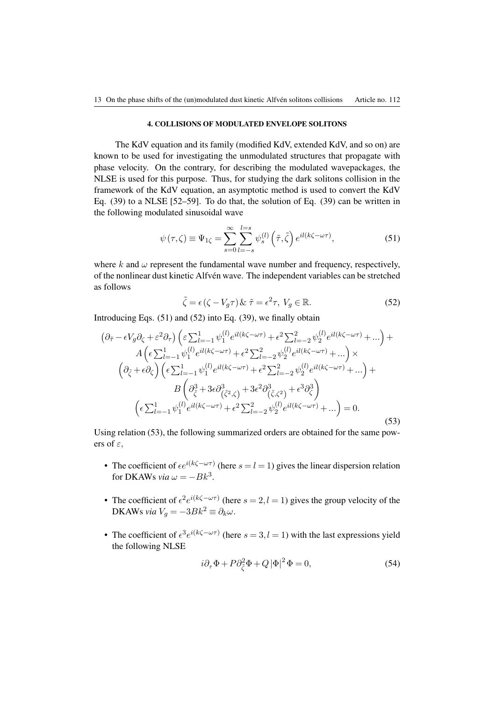#### 4. COLLISIONS OF MODULATED ENVELOPE SOLITONS

The KdV equation and its family (modified KdV, extended KdV, and so on) are known to be used for investigating the unmodulated structures that propagate with phase velocity. On the contrary, for describing the modulated wavepackages, the NLSE is used for this purpose. Thus, for studying the dark solitons collision in the framework of the KdV equation, an asymptotic method is used to convert the KdV Eq. [\(39\)](#page-8-4) to a NLSE [\[52](#page-19-1)[–59\]](#page-19-2). To do that, the solution of Eq. [\(39\)](#page-8-4) can be written in the following modulated sinusoidal wave

<span id="page-12-0"></span>
$$
\psi(\tau,\zeta) \equiv \Psi_{1\zeta} = \sum_{s=0}^{\infty} \sum_{l=-s}^{l=s} \psi_s^{(l)}\left(\tilde{\tau},\tilde{\zeta}\right) e^{il(k\zeta - \omega \tau)},\tag{51}
$$

where  $k$  and  $\omega$  represent the fundamental wave number and frequency, respectively, of the nonlinear dust kinetic Alfvén wave. The independent variables can be stretched as follows

<span id="page-12-1"></span>
$$
\tilde{\zeta} = \epsilon (\zeta - V_g \tau) \& \ \tilde{\tau} = \epsilon^2 \tau, \ V_g \in \mathbb{R}.
$$
\n(52)

Introducing Eqs. [\(51\)](#page-12-0) and [\(52\)](#page-12-1) into Eq. [\(39\)](#page-8-4), we finally obtain

<span id="page-12-2"></span>
$$
\left(\partial_{\tilde{\tau}} - \epsilon V_g \partial_{\zeta} + \varepsilon^2 \partial_{\tau}\right) \left(\varepsilon \sum_{l=-1}^1 \psi_1^{(l)} e^{il(k\zeta - \omega \tau)} + \epsilon^2 \sum_{l=-2}^2 \psi_2^{(l)} e^{il(k\zeta - \omega \tau)} + \dots\right) +
$$
\n
$$
A\left(\epsilon \sum_{l=-1}^1 \psi_1^{(l)} e^{il(k\zeta - \omega \tau)} + \epsilon^2 \sum_{l=-2}^2 \psi_2^{(l)} e^{il(k\zeta - \omega \tau)} + \dots\right) \times
$$
\n
$$
\left(\partial_{\tilde{\zeta}} + \epsilon \partial_{\zeta}\right) \left(\epsilon \sum_{l=-1}^1 \psi_1^{(l)} e^{il(k\zeta - \omega \tau)} + \epsilon^2 \sum_{l=-2}^2 \psi_2^{(l)} e^{il(k\zeta - \omega \tau)} + \dots\right) +
$$
\n
$$
B\left(\partial_{\tilde{\zeta}}^3 + 3\epsilon \partial_{(\tilde{\zeta}^2, \zeta)}^3 + 3\epsilon^2 \partial_{(\tilde{\zeta}, \zeta^2)}^3 + \epsilon^3 \partial_{\zeta}^3\right)
$$
\n
$$
\left(\epsilon \sum_{l=-1}^1 \psi_1^{(l)} e^{il(k\zeta - \omega \tau)} + \epsilon^2 \sum_{l=-2}^2 \psi_2^{(l)} e^{il(k\zeta - \omega \tau)} + \dots\right) = 0.
$$
\n(53)

Using relation [\(53\)](#page-12-2), the following summarized orders are obtained for the same powers of  $\varepsilon$ ,

- The coefficient of  $\epsilon e^{i(k\zeta \omega \tau)}$  (here  $s = l = 1$ ) gives the linear dispersion relation for DKAWs *via*  $\omega = -Bk^3$ .
- The coefficient of  $\epsilon^2 e^{i(k\zeta \omega \tau)}$  (here  $s = 2, l = 1$ ) gives the group velocity of the DKAWs *via*  $V_q = -3Bk^2 \equiv \partial_k \omega$ .
- The coefficient of  $\epsilon^3 e^{i(k\zeta \omega \tau)}$  (here  $s = 3, l = 1$ ) with the last expressions yield the following NLSE

<span id="page-12-3"></span>
$$
i\partial_{\tilde{\tau}}\Phi + P\partial_{\tilde{\zeta}}^2\Phi + Q|\Phi|^2\Phi = 0,\tag{54}
$$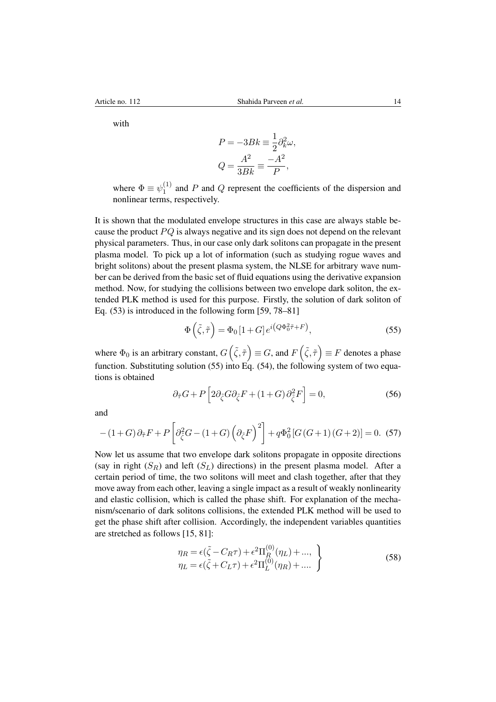with

$$
P = -3Bk \equiv \frac{1}{2}\partial_k^2 \omega,
$$
  

$$
Q = \frac{A^2}{3Bk} \equiv \frac{-A^2}{P},
$$

where  $\Phi \equiv \psi_1^{(1)}$  $1<sup>(1)</sup>$  and P and Q represent the coefficients of the dispersion and nonlinear terms, respectively.

It is shown that the modulated envelope structures in this case are always stable because the product  $PQ$  is always negative and its sign does not depend on the relevant physical parameters. Thus, in our case only dark solitons can propagate in the present plasma model. To pick up a lot of information (such as studying rogue waves and bright solitons) about the present plasma system, the NLSE for arbitrary wave number can be derived from the basic set of fluid equations using the derivative expansion method. Now, for studying the collisions between two envelope dark soliton, the extended PLK method is used for this purpose. Firstly, the solution of dark soliton of Eq. [\(53\)](#page-12-2) is introduced in the following form [\[59,](#page-19-2) [78](#page-19-21)[–81\]](#page-19-22)

<span id="page-13-0"></span>
$$
\Phi\left(\tilde{\zeta},\tilde{\tau}\right) = \Phi_0\left[1 + G\right]e^{i\left(Q\Phi_0^2\tilde{\tau} + F\right)},\tag{55}
$$

where  $\Phi_0$  is an arbitrary constant,  $G\left(\tilde{\zeta},\tilde{\tau}\right) \equiv G$ , and  $F\left(\tilde{\zeta},\tilde{\tau}\right) \equiv F$  denotes a phase function. Substituting solution [\(55\)](#page-13-0) into Eq. [\(54\)](#page-12-3), the following system of two equations is obtained

<span id="page-13-1"></span>
$$
\partial_{\tilde{\tau}} G + P \left[ 2 \partial_{\tilde{\zeta}} G \partial_{\tilde{\zeta}} F + (1 + G) \partial_{\tilde{\zeta}}^2 F \right] = 0, \tag{56}
$$

and

<span id="page-13-2"></span>
$$
-(1+G)\partial_{\tilde{\tau}}F + P\left[\partial_{\tilde{\zeta}}^2G - (1+G)\left(\partial_{\tilde{\zeta}}F\right)^2\right] + q\Phi_0^2\left[G\left(G+1\right)\left(G+2\right)\right] = 0. \tag{57}
$$

Now let us assume that two envelope dark solitons propagate in opposite directions (say in right  $(S_R)$  and left  $(S_L)$  directions) in the present plasma model. After a certain period of time, the two solitons will meet and clash together, after that they move away from each other, leaving a single impact as a result of weakly nonlinearity and elastic collision, which is called the phase shift. For explanation of the mechanism/scenario of dark solitons collisions, the extended PLK method will be used to get the phase shift after collision. Accordingly, the independent variables quantities are stretched as follows [\[15,](#page-18-1) [81\]](#page-19-22):

<span id="page-13-3"></span>
$$
\eta_R = \epsilon(\tilde{\zeta} - C_R \tau) + \epsilon^2 \Pi_R^{(0)}(\eta_L) + ..., \n\eta_L = \epsilon(\tilde{\zeta} + C_L \tau) + \epsilon^2 \Pi_L^{(0)}(\eta_R) + ....
$$
\n(58)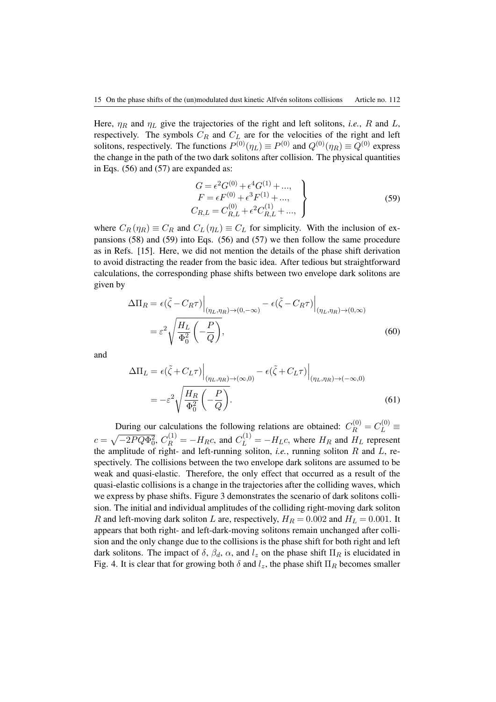Here,  $\eta_R$  and  $\eta_L$  give the trajectories of the right and left solitons, *i.e.*, R and L, respectively. The symbols  $C_R$  and  $C_L$  are for the velocities of the right and left solitons, respectively. The functions  $P^{(0)}(\eta_L) \equiv P^{(0)}$  and  $Q^{(0)}(\eta_R) \equiv Q^{(0)}$  express the change in the path of the two dark solitons after collision. The physical quantities in Eqs. [\(56\)](#page-13-1) and [\(57\)](#page-13-2) are expanded as:

<span id="page-14-0"></span>
$$
G = \epsilon^2 G^{(0)} + \epsilon^4 G^{(1)} + \dots, \nF = \epsilon F^{(0)} + \epsilon^3 F^{(1)} + \dots, \nC_{R,L} = C_{R,L}^{(0)} + \epsilon^2 C_{R,L}^{(1)} + \dots,
$$
\n(59)

where  $C_R(\eta_R) \equiv C_R$  and  $C_L(\eta_L) \equiv C_L$  for simplicity. With the inclusion of expansions [\(58\)](#page-13-3) and [\(59\)](#page-14-0) into Eqs. [\(56\)](#page-13-1) and [\(57\)](#page-13-2) we then follow the same procedure as in Refs. [\[15\]](#page-18-1). Here, we did not mention the details of the phase shift derivation to avoid distracting the reader from the basic idea. After tedious but straightforward calculations, the corresponding phase shifts between two envelope dark solitons are given by

$$
\Delta \Pi_R = \epsilon(\tilde{\zeta} - C_R \tau) \Big|_{(\eta_L, \eta_R) \to (0, -\infty)} - \epsilon(\tilde{\zeta} - C_R \tau) \Big|_{(\eta_L, \eta_R) \to (0, \infty)}
$$
  
=  $\varepsilon^2 \sqrt{\frac{H_L}{\Phi_0^2} \left( -\frac{P}{Q} \right)},$  (60)

and

$$
\Delta \Pi_L = \epsilon(\tilde{\zeta} + C_L \tau) \Big|_{(\eta_L, \eta_R) \to (\infty, 0)} - \epsilon(\tilde{\zeta} + C_L \tau) \Big|_{(\eta_L, \eta_R) \to (-\infty, 0)}
$$
  
= 
$$
-\varepsilon^2 \sqrt{\frac{H_R}{\Phi_0^2} \left(-\frac{P}{Q}\right)}.
$$
 (61)

During our calculations the following relations are obtained:  $C_R^{(0)} = C_L^{(0)} \equiv$  $c = \sqrt{-2PQ\Phi_0^2}$ ,  $C_R^{(1)} = -H_Rc$ , and  $C_L^{(1)} = -H_Lc$ , where  $H_R$  and  $H_L$  represent the amplitude of right- and left-running soliton, *i.e.*, running soliton  $R$  and  $L$ , respectively. The collisions between the two envelope dark solitons are assumed to be weak and quasi-elastic. Therefore, the only effect that occurred as a result of the quasi-elastic collisions is a change in the trajectories after the colliding waves, which we express by phase shifts. Figure 3 demonstrates the scenario of dark solitons collision. The initial and individual amplitudes of the colliding right-moving dark soliton R and left-moving dark soliton L are, respectively,  $H_R = 0.002$  and  $H_L = 0.001$ . It appears that both right- and left-dark-moving solitons remain unchanged after collision and the only change due to the collisions is the phase shift for both right and left dark solitons. The impact of  $\delta$ ,  $\beta_d$ ,  $\alpha$ , and  $l_z$  on the phase shift  $\Pi_R$  is elucidated in Fig. 4. It is clear that for growing both  $\delta$  and  $l_z$ , the phase shift  $\Pi_R$  becomes smaller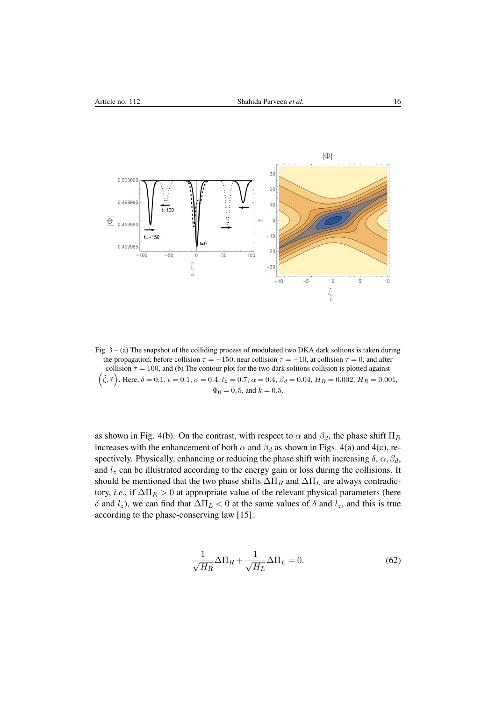

Fig. 3 – (a) The snapshot of the colliding process of modulated two DKA dark solitons is taken during the propagation, before collision  $\tau = -150$ , near collision  $\tau = -10$ , at collision  $\tau = 0$ , and after collision  $\tau = 100$ , and (b) The contour plot for the two dark solitons collision is plotted against  $(\tilde{\zeta}, \tilde{\tau})$ . Here,  $\delta = 0.1$ ,  $\epsilon = 0.1$ ,  $\sigma = 0.4$ ,  $l_z = 0.7$ ,  $\alpha = 0.4$ ,  $\beta_d = 0.04$ ,  $H_R = 0.002$ ,  $H_R = 0.001$ ,  $\Phi_0 = 0.5$ , and  $k = 0.5$ .

as shown in Fig. 4(b). On the contrast, with respect to  $\alpha$  and  $\beta_d$ , the phase shift  $\Pi_R$ increases with the enhancement of both  $\alpha$  and  $\beta_d$  as shown in Figs. 4(a) and 4(c), respectively. Physically, enhancing or reducing the phase shift with increasing  $\delta$ ,  $\alpha$ ,  $\beta$ d, and  $l_z$  can be illustrated according to the energy gain or loss during the collisions. It should be mentioned that the two phase shifts  $\Delta \Pi_R$  and  $\Delta \Pi_L$  are always contradictory, *i.e.*, if  $\Delta \Pi_R > 0$  at appropriate value of the relevant physical parameters (here δ and  $l_z$ ), we can find that  $\Delta \Pi_L < 0$  at the same values of δ and  $l_z$ , and this is true according to the phase-conserving law [\[15\]](#page-18-1):

$$
\frac{1}{\sqrt{H_R}} \Delta \Pi_R + \frac{1}{\sqrt{H_L}} \Delta \Pi_L = 0.
$$
 (62)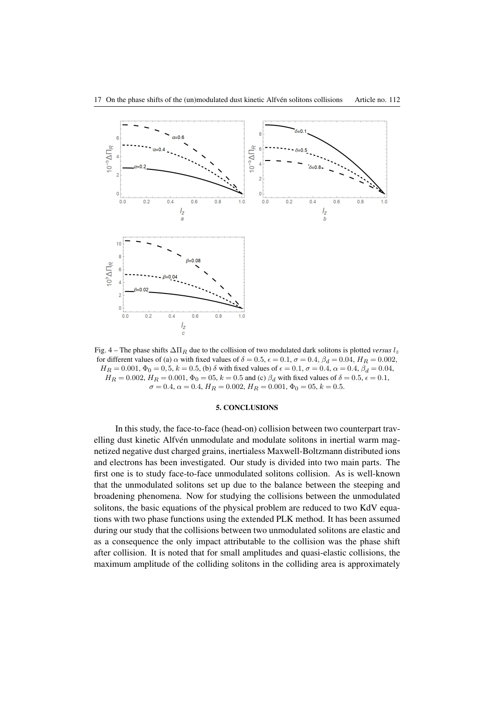

Fig. 4 – The phase shifts  $\Delta\Pi_R$  due to the collision of two modulated dark solitons is plotted *versus* l<sub>z</sub> for different values of (a)  $\alpha$  with fixed values of  $\delta = 0.5$ ,  $\epsilon = 0.1$ ,  $\sigma = 0.4$ ,  $\beta_d = 0.04$ ,  $H_R = 0.002$ ,  $H_R = 0.001, \Phi_0 = 0.5, k = 0.5$ , (b)  $\delta$  with fixed values of  $\epsilon = 0.1, \sigma = 0.4, \alpha = 0.4, \beta_d = 0.04$ ,  $H_R = 0.002, H_R = 0.001, \Phi_0 = 0.5, k = 0.5$  and (c)  $\beta_d$  with fixed values of  $\delta = 0.5, \epsilon = 0.1$ ,  $\sigma = 0.4, \alpha = 0.4, H_R = 0.002, H_R = 0.001, \Phi_0 = 0.5, k = 0.5.$ 

### 5. CONCLUSIONS

In this study, the face-to-face (head-on) collision between two counterpart travelling dust kinetic Alfvén unmodulate and modulate solitons in inertial warm magnetized negative dust charged grains, inertialess Maxwell-Boltzmann distributed ions and electrons has been investigated. Our study is divided into two main parts. The first one is to study face-to-face unmodulated solitons collision. As is well-known that the unmodulated solitons set up due to the balance between the steeping and broadening phenomena. Now for studying the collisions between the unmodulated solitons, the basic equations of the physical problem are reduced to two KdV equations with two phase functions using the extended PLK method. It has been assumed during our study that the collisions between two unmodulated solitons are elastic and as a consequence the only impact attributable to the collision was the phase shift after collision. It is noted that for small amplitudes and quasi-elastic collisions, the maximum amplitude of the colliding solitons in the colliding area is approximately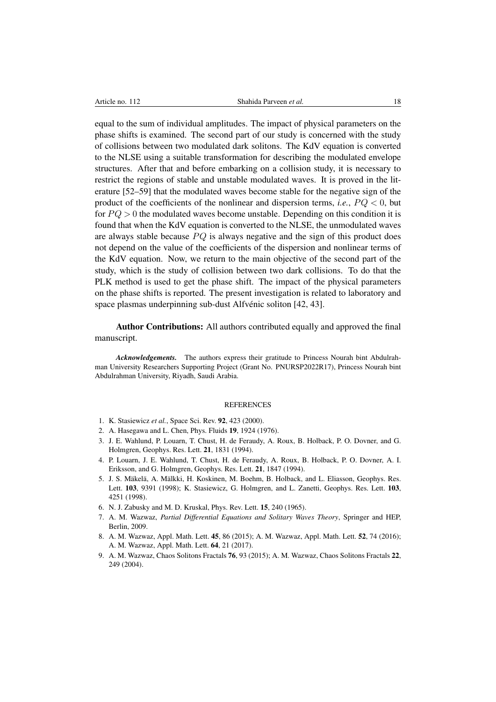equal to the sum of individual amplitudes. The impact of physical parameters on the phase shifts is examined. The second part of our study is concerned with the study of collisions between two modulated dark solitons. The KdV equation is converted to the NLSE using a suitable transformation for describing the modulated envelope structures. After that and before embarking on a collision study, it is necessary to restrict the regions of stable and unstable modulated waves. It is proved in the literature [\[52–](#page-19-1)[59\]](#page-19-2) that the modulated waves become stable for the negative sign of the product of the coefficients of the nonlinear and dispersion terms, *i.e.*,  $PQ < 0$ , but for  $PQ > 0$  the modulated waves become unstable. Depending on this condition it is found that when the KdV equation is converted to the NLSE, the unmodulated waves are always stable because  $PQ$  is always negative and the sign of this product does not depend on the value of the coefficients of the dispersion and nonlinear terms of the KdV equation. Now, we return to the main objective of the second part of the study, which is the study of collision between two dark collisions. To do that the PLK method is used to get the phase shift. The impact of the physical parameters on the phase shifts is reported. The present investigation is related to laboratory and space plasmas underpinning sub-dust Alfvénic soliton [\[42,](#page-18-16) [43\]](#page-18-17).

Author Contributions: All authors contributed equally and approved the final manuscript.

*Acknowledgements.* The authors express their gratitude to Princess Nourah bint Abdulrahman University Researchers Supporting Project (Grant No. PNURSP2022R17), Princess Nourah bint Abdulrahman University, Riyadh, Saudi Arabia.

#### **REFERENCES**

- <span id="page-17-0"></span>1. K. Stasiewicz *et al.*, Space Sci. Rev. 92, 423 (2000).
- <span id="page-17-1"></span>2. A. Hasegawa and L. Chen, Phys. Fluids 19, 1924 (1976).
- <span id="page-17-2"></span>3. J. E. Wahlund, P. Louarn, T. Chust, H. de Feraudy, A. Roux, B. Holback, P. O. Dovner, and G. Holmgren, Geophys. Res. Lett. 21, 1831 (1994).
- 4. P. Louarn, J. E. Wahlund, T. Chust, H. de Feraudy, A. Roux, B. Holback, P. O. Dovner, A. I. Eriksson, and G. Holmgren, Geophys. Res. Lett. 21, 1847 (1994).
- <span id="page-17-3"></span>5. J. S. Mäkelä, A. Mälkki, H. Koskinen, M. Boehm, B. Holback, and L. Eliasson, Geophys. Res. Lett. 103, 9391 (1998); K. Stasiewicz, G. Holmgren, and L. Zanetti, Geophys. Res. Lett. 103, 4251 (1998).
- <span id="page-17-4"></span>6. N. J. Zabusky and M. D. Kruskal, Phys. Rev. Lett. 15, 240 (1965).
- <span id="page-17-5"></span>7. A. M. Wazwaz, *Partial Differential Equations and Solitary Waves Theory*, Springer and HEP, Berlin, 2009.
- 8. A. M. Wazwaz, Appl. Math. Lett. 45, 86 (2015); A. M. Wazwaz, Appl. Math. Lett. 52, 74 (2016); A. M. Wazwaz, Appl. Math. Lett. 64, 21 (2017).
- <span id="page-17-6"></span>9. A. M. Wazwaz, Chaos Solitons Fractals 76, 93 (2015); A. M. Wazwaz, Chaos Solitons Fractals 22, 249 (2004).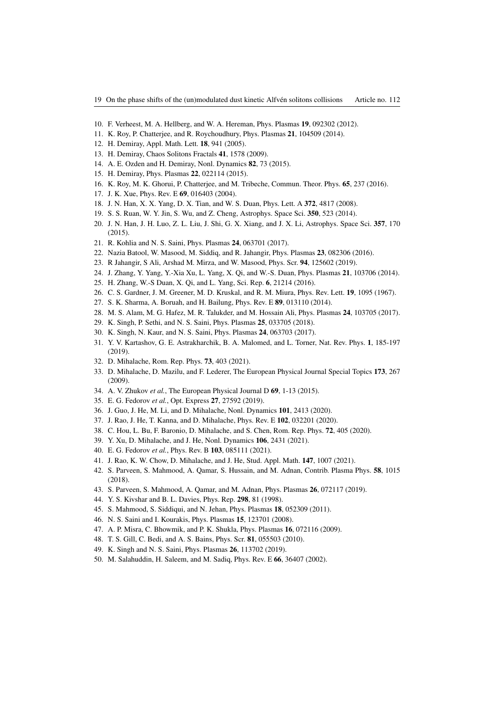- <span id="page-18-0"></span>10. F. Verheest, M. A. Hellberg, and W. A. Hereman, Phys. Plasmas 19, 092302 (2012).
- 11. K. Roy, P. Chatterjee, and R. Roychoudhury, Phys. Plasmas 21, 104509 (2014).
- <span id="page-18-25"></span>12. H. Demiray, Appl. Math. Lett. 18, 941 (2005).
- <span id="page-18-26"></span>13. H. Demiray, Chaos Solitons Fractals 41, 1578 (2009).
- 14. A. E. Ozden and H. Demiray, Nonl. Dynamics 82, 73 (2015).
- <span id="page-18-1"></span>15. H. Demiray, Phys. Plasmas 22, 022114 (2015).
- <span id="page-18-2"></span>16. K. Roy, M. K. Ghorui, P. Chatterjee, and M. Tribeche, Commun. Theor. Phys. 65, 237 (2016).
- <span id="page-18-3"></span>17. J. K. Xue, Phys. Rev. E 69, 016403 (2004).
- <span id="page-18-27"></span>18. J. N. Han, X. X. Yang, D. X. Tian, and W. S. Duan, Phys. Lett. A 372, 4817 (2008).
- 19. S. S. Ruan, W. Y. Jin, S. Wu, and Z. Cheng, Astrophys. Space Sci. 350, 523 (2014).
- 20. J. N. Han, J. H. Luo, Z. L. Liu, J. Shi, G. X. Xiang, and J. X. Li, Astrophys. Space Sci. 357, 170 (2015).
- 21. R. Kohlia and N. S. Saini, Phys. Plasmas 24, 063701 (2017).
- <span id="page-18-24"></span>22. Nazia Batool, W. Masood, M. Siddiq, and R. Jahangir, Phys. Plasmas 23, 082306 (2016).
- <span id="page-18-4"></span>23. R Jahangir, S Ali, Arshad M. Mirza, and W. Masood, Phys. Scr. 94, 125602 (2019).
- <span id="page-18-5"></span>24. J. Zhang, Y. Yang, Y.-Xia Xu, L. Yang, X. Qi, and W.-S. Duan, Phys. Plasmas 21, 103706 (2014).
- <span id="page-18-6"></span>25. H. Zhang, W.-S Duan, X. Qi, and L. Yang, Sci. Rep. 6, 21214 (2016).
- <span id="page-18-7"></span>26. C. S. Gardner, J. M. Greener, M. D. Kruskal, and R. M. Miura, Phys. Rev. Lett. 19, 1095 (1967).
- <span id="page-18-8"></span>27. S. K. Sharma, A. Boruah, and H. Bailung, Phys. Rev. E 89, 013110 (2014).
- <span id="page-18-9"></span>28. M. S. Alam, M. G. Hafez, M. R. Talukder, and M. Hossain Ali, Phys. Plasmas 24, 103705 (2017).
- <span id="page-18-10"></span>29. K. Singh, P. Sethi, and N. S. Saini, Phys. Plasmas 25, 033705 (2018).
- <span id="page-18-11"></span>30. K. Singh, N. Kaur, and N. S. Saini, Phys. Plasmas 24, 063703 (2017).
- <span id="page-18-12"></span>31. Y. V. Kartashov, G. E. Astrakharchik, B. A. Malomed, and L. Torner, Nat. Rev. Phys. 1, 185-197 (2019).
- <span id="page-18-13"></span>32. D. Mihalache, Rom. Rep. Phys. 73, 403 (2021).
- <span id="page-18-14"></span>33. D. Mihalache, D. Mazilu, and F. Lederer, The European Physical Journal Special Topics 173, 267 (2009).
- 34. A. V. Zhukov *et al.*, The European Physical Journal D 69, 1-13 (2015).
- 35. E. G. Fedorov *et al.*, Opt. Express 27, 27592 (2019).
- 36. J. Guo, J. He, M. Li, and D. Mihalache, Nonl. Dynamics 101, 2413 (2020).
- 37. J. Rao, J. He, T. Kanna, and D. Mihalache, Phys. Rev. E 102, 032201 (2020).
- 38. C. Hou, L. Bu, F. Baronio, D. Mihalache, and S. Chen, Rom. Rep. Phys. 72, 405 (2020).
- 39. Y. Xu, D. Mihalache, and J. He, Nonl. Dynamics 106, 2431 (2021).
- 40. E. G. Fedorov *et al.*, Phys. Rev. B 103, 085111 (2021).
- <span id="page-18-15"></span>41. J. Rao, K. W. Chow, D. Mihalache, and J. He, Stud. Appl. Math. 147, 1007 (2021).
- <span id="page-18-16"></span>42. S. Parveen, S. Mahmood, A. Qamar, S. Hussain, and M. Adnan, Contrib. Plasma Phys. 58, 1015 (2018).
- <span id="page-18-17"></span>43. S. Parveen, S. Mahmood, A. Qamar, and M. Adnan, Phys. Plasmas 26, 072117 (2019).
- <span id="page-18-18"></span>44. Y. S. Kivshar and B. L. Davies, Phys. Rep. 298, 81 (1998).
- <span id="page-18-19"></span>45. S. Mahmood, S. Siddiqui, and N. Jehan, Phys. Plasmas 18, 052309 (2011).
- <span id="page-18-20"></span>46. N. S. Saini and I. Kourakis, Phys. Plasmas 15, 123701 (2008).
- <span id="page-18-21"></span>47. A. P. Misra, C. Bhowmik, and P. K. Shukla, Phys. Plasmas 16, 072116 (2009).
- 48. T. S. Gill, C. Bedi, and A. S. Bains, Phys. Scr. 81, 055503 (2010).
- <span id="page-18-22"></span>49. K. Singh and N. S. Saini, Phys. Plasmas 26, 113702 (2019).
- <span id="page-18-23"></span>50. M. Salahuddin, H. Saleem, and M. Sadiq, Phys. Rev. E 66, 36407 (2002).